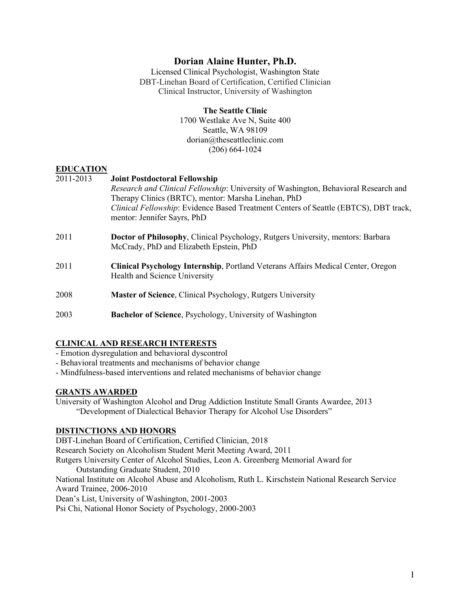# **Dorian Alaine Hunter, Ph.D.**

Licensed Clinical Psychologist, Washington State DBT-Linehan Board of Certification, Certified Clinician Clinical Instructor, University of Washington

#### **The Seattle Clinic**

1700 Westlake Ave N, Suite 400 Seattle, WA 98109 dorian@theseattleclinic.com (206) 664-1024

## **EDUCATION**

| 2011-2013 | <b>Joint Postdoctoral Fellowship</b>                                                    |  |  |
|-----------|-----------------------------------------------------------------------------------------|--|--|
|           | Research and Clinical Fellowship: University of Washington, Behavioral Research and     |  |  |
|           | Therapy Clinics (BRTC), mentor: Marsha Linehan, PhD                                     |  |  |
|           | Clinical Fellowship: Evidence Based Treatment Centers of Seattle (EBTCS), DBT track,    |  |  |
|           | mentor: Jennifer Sayrs, PhD                                                             |  |  |
| 2011      | Doctor of Philosophy, Clinical Psychology, Rutgers University, mentors: Barbara         |  |  |
|           | McCrady, PhD and Elizabeth Epstein, PhD                                                 |  |  |
|           |                                                                                         |  |  |
| 2011      | <b>Clinical Psychology Internship, Portland Veterans Affairs Medical Center, Oregon</b> |  |  |
|           | Health and Science University                                                           |  |  |
| 2008      |                                                                                         |  |  |
|           | Master of Science, Clinical Psychology, Rutgers University                              |  |  |
| 2003      | Bachelor of Science, Psychology, University of Washington                               |  |  |
|           |                                                                                         |  |  |

## **CLINICAL AND RESEARCH INTERESTS**

- Emotion dysregulation and behavioral dyscontrol

- Behavioral treatments and mechanisms of behavior change
- Mindfulness-based interventions and related mechanisms of behavior change

## **GRANTS AWARDED**

University of Washington Alcohol and Drug Addiction Institute Small Grants Awardee, 2013 "Development of Dialectical Behavior Therapy for Alcohol Use Disorders"

## **DISTINCTIONS AND HONORS**

DBT-Linehan Board of Certification, Certified Clinician, 2018 Research Society on Alcoholism Student Merit Meeting Award, 2011 Rutgers University Center of Alcohol Studies, Leon A. Greenberg Memorial Award for Outstanding Graduate Student, 2010 National Institute on Alcohol Abuse and Alcoholism, Ruth L. Kirschstein National Research Service Award Trainee, 2006-2010 Dean's List, University of Washington, 2001-2003 Psi Chi, National Honor Society of Psychology, 2000-2003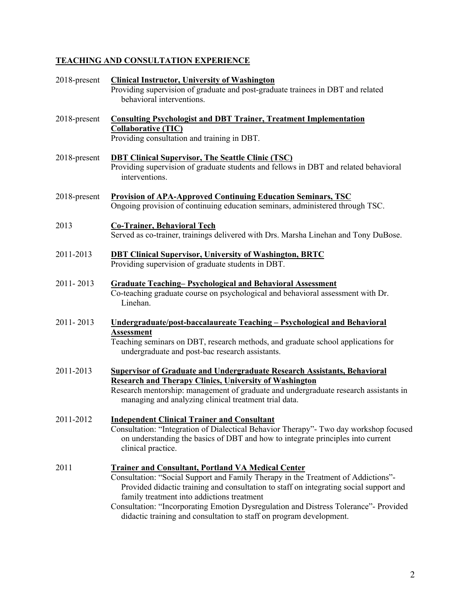# **TEACHING AND CONSULTATION EXPERIENCE**

| 2018-present | <b>Clinical Instructor, University of Washington</b><br>Providing supervision of graduate and post-graduate trainees in DBT and related<br>behavioral interventions.                                                                                                                                                                                                                                                                                  |  |
|--------------|-------------------------------------------------------------------------------------------------------------------------------------------------------------------------------------------------------------------------------------------------------------------------------------------------------------------------------------------------------------------------------------------------------------------------------------------------------|--|
| 2018-present | <b>Consulting Psychologist and DBT Trainer, Treatment Implementation</b><br><b>Collaborative (TIC)</b><br>Providing consultation and training in DBT.                                                                                                                                                                                                                                                                                                 |  |
| 2018-present | <b>DBT Clinical Supervisor, The Seattle Clinic (TSC)</b><br>Providing supervision of graduate students and fellows in DBT and related behavioral<br>interventions.                                                                                                                                                                                                                                                                                    |  |
| 2018-present | <b>Provision of APA-Approved Continuing Education Seminars, TSC</b><br>Ongoing provision of continuing education seminars, administered through TSC.                                                                                                                                                                                                                                                                                                  |  |
| 2013         | <b>Co-Trainer, Behavioral Tech</b><br>Served as co-trainer, trainings delivered with Drs. Marsha Linehan and Tony DuBose.                                                                                                                                                                                                                                                                                                                             |  |
| 2011-2013    | <b>DBT Clinical Supervisor, University of Washington, BRTC</b><br>Providing supervision of graduate students in DBT.                                                                                                                                                                                                                                                                                                                                  |  |
| 2011-2013    | <b>Graduate Teaching-Psychological and Behavioral Assessment</b><br>Co-teaching graduate course on psychological and behavioral assessment with Dr.<br>Linehan.                                                                                                                                                                                                                                                                                       |  |
| 2011-2013    | <u><b>Undergraduate/post-baccalaureate Teaching – Psychological and Behavioral</b></u><br><b>Assessment</b><br>Teaching seminars on DBT, research methods, and graduate school applications for<br>undergraduate and post-bac research assistants.                                                                                                                                                                                                    |  |
| 2011-2013    | <b>Supervisor of Graduate and Undergraduate Research Assistants, Behavioral</b><br><b>Research and Therapy Clinics, University of Washington</b><br>Research mentorship: management of graduate and undergraduate research assistants in<br>managing and analyzing clinical treatment trial data.                                                                                                                                                     |  |
| 2011-2012    | <b>Independent Clinical Trainer and Consultant</b><br>Consultation: "Integration of Dialectical Behavior Therapy"- Two day workshop focused<br>on understanding the basics of DBT and how to integrate principles into current<br>clinical practice.                                                                                                                                                                                                  |  |
| 2011         | <b>Trainer and Consultant, Portland VA Medical Center</b><br>Consultation: "Social Support and Family Therapy in the Treatment of Addictions"-<br>Provided didactic training and consultation to staff on integrating social support and<br>family treatment into addictions treatment<br>Consultation: "Incorporating Emotion Dysregulation and Distress Tolerance"- Provided<br>didactic training and consultation to staff on program development. |  |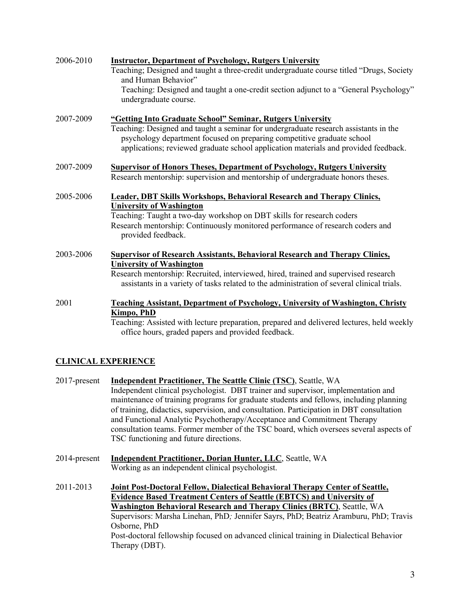| 2006-2010 | <b>Instructor, Department of Psychology, Rutgers University</b><br>Teaching; Designed and taught a three-credit undergraduate course titled "Drugs, Society<br>and Human Behavior"<br>Teaching: Designed and taught a one-credit section adjunct to a "General Psychology"<br>undergraduate course.                 |
|-----------|---------------------------------------------------------------------------------------------------------------------------------------------------------------------------------------------------------------------------------------------------------------------------------------------------------------------|
| 2007-2009 | "Getting Into Graduate School" Seminar, Rutgers University<br>Teaching: Designed and taught a seminar for undergraduate research assistants in the<br>psychology department focused on preparing competitive graduate school<br>applications; reviewed graduate school application materials and provided feedback. |
| 2007-2009 | <b>Supervisor of Honors Theses, Department of Psychology, Rutgers University</b><br>Research mentorship: supervision and mentorship of undergraduate honors theses.                                                                                                                                                 |
| 2005-2006 | <b>Leader, DBT Skills Workshops, Behavioral Research and Therapy Clinics,</b><br><b>University of Washington</b><br>Teaching: Taught a two-day workshop on DBT skills for research coders<br>Research mentorship: Continuously monitored performance of research coders and<br>provided feedback.                   |
| 2003-2006 | <b>Supervisor of Research Assistants, Behavioral Research and Therapy Clinics,</b><br><b>University of Washington</b><br>Research mentorship: Recruited, interviewed, hired, trained and supervised research<br>assistants in a variety of tasks related to the administration of several clinical trials.          |
| 2001      | <b>Teaching Assistant, Department of Psychology, University of Washington, Christy</b><br>Kimpo, PhD<br>Teaching: Assisted with lecture preparation, prepared and delivered lectures, held weekly<br>office hours, graded papers and provided feedback.                                                             |

# **CLINICAL EXPERIENCE**

- 2017-present **Independent Practitioner, The Seattle Clinic (TSC)**, Seattle, WA Independent clinical psychologist. DBT trainer and supervisor, implementation and maintenance of training programs for graduate students and fellows, including planning of training, didactics, supervision, and consultation. Participation in DBT consultation and Functional Analytic Psychotherapy/Acceptance and Commitment Therapy consultation teams. Former member of the TSC board, which oversees several aspects of TSC functioning and future directions.
- 2014-present **Independent Practitioner, Dorian Hunter, LLC**, Seattle, WA Working as an independent clinical psychologist.
- 2011-2013 **Joint Post-Doctoral Fellow, Dialectical Behavioral Therapy Center of Seattle, Evidence Based Treatment Centers of Seattle (EBTCS) and University of Washington Behavioral Research and Therapy Clinics (BRTC)**, Seattle, WA Supervisors: Marsha Linehan, PhD*;* Jennifer Sayrs, PhD; Beatriz Aramburu, PhD; Travis Osborne, PhD Post-doctoral fellowship focused on advanced clinical training in Dialectical Behavior Therapy (DBT).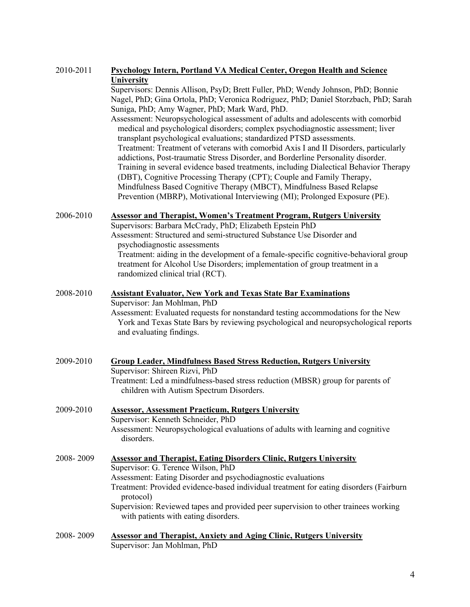| 2010-2011 | <b>Psychology Intern, Portland VA Medical Center, Oregon Health and Science</b>                     |  |  |  |
|-----------|-----------------------------------------------------------------------------------------------------|--|--|--|
|           | <b>University</b>                                                                                   |  |  |  |
|           | Supervisors: Dennis Allison, PsyD; Brett Fuller, PhD; Wendy Johnson, PhD; Bonnie                    |  |  |  |
|           | Nagel, PhD; Gina Ortola, PhD; Veronica Rodriguez, PhD; Daniel Storzbach, PhD; Sarah                 |  |  |  |
|           | Suniga, PhD; Amy Wagner, PhD; Mark Ward, PhD.                                                       |  |  |  |
|           | Assessment: Neuropsychological assessment of adults and adolescents with comorbid                   |  |  |  |
|           | medical and psychological disorders; complex psychodiagnostic assessment; liver                     |  |  |  |
|           | transplant psychological evaluations; standardized PTSD assessments.                                |  |  |  |
|           | Treatment: Treatment of veterans with comorbid Axis I and II Disorders, particularly                |  |  |  |
|           | addictions, Post-traumatic Stress Disorder, and Borderline Personality disorder.                    |  |  |  |
|           | Training in several evidence based treatments, including Dialectical Behavior Therapy               |  |  |  |
|           | (DBT), Cognitive Processing Therapy (CPT); Couple and Family Therapy,                               |  |  |  |
|           | Mindfulness Based Cognitive Therapy (MBCT), Mindfulness Based Relapse                               |  |  |  |
|           | Prevention (MBRP), Motivational Interviewing (MI); Prolonged Exposure (PE).                         |  |  |  |
| 2006-2010 | <b>Assessor and Therapist, Women's Treatment Program, Rutgers University</b>                        |  |  |  |
|           | Supervisors: Barbara McCrady, PhD; Elizabeth Epstein PhD                                            |  |  |  |
|           | Assessment: Structured and semi-structured Substance Use Disorder and                               |  |  |  |
|           | psychodiagnostic assessments                                                                        |  |  |  |
|           | Treatment: aiding in the development of a female-specific cognitive-behavioral group                |  |  |  |
|           | treatment for Alcohol Use Disorders; implementation of group treatment in a                         |  |  |  |
|           | randomized clinical trial (RCT).                                                                    |  |  |  |
| 2008-2010 | <b>Assistant Evaluator, New York and Texas State Bar Examinations</b>                               |  |  |  |
|           | Supervisor: Jan Mohlman, PhD                                                                        |  |  |  |
|           | Assessment: Evaluated requests for nonstandard testing accommodations for the New                   |  |  |  |
|           | York and Texas State Bars by reviewing psychological and neuropsychological reports                 |  |  |  |
|           | and evaluating findings.                                                                            |  |  |  |
|           |                                                                                                     |  |  |  |
| 2009-2010 | <b>Group Leader, Mindfulness Based Stress Reduction, Rutgers University</b>                         |  |  |  |
|           | Supervisor: Shireen Rizvi, PhD                                                                      |  |  |  |
|           | Treatment: Led a mindfulness-based stress reduction (MBSR) group for parents of                     |  |  |  |
|           | children with Autism Spectrum Disorders.                                                            |  |  |  |
| 2009-2010 | <b>Assessor, Assessment Practicum, Rutgers University</b>                                           |  |  |  |
|           | Supervisor: Kenneth Schneider, PhD                                                                  |  |  |  |
|           | Assessment: Neuropsychological evaluations of adults with learning and cognitive                    |  |  |  |
|           | disorders.                                                                                          |  |  |  |
| 2008-2009 | <b>Assessor and Therapist, Eating Disorders Clinic, Rutgers University</b>                          |  |  |  |
|           | Supervisor: G. Terence Wilson, PhD                                                                  |  |  |  |
|           | Assessment: Eating Disorder and psychodiagnostic evaluations                                        |  |  |  |
|           | Treatment: Provided evidence-based individual treatment for eating disorders (Fairburn<br>protocol) |  |  |  |
|           | Supervision: Reviewed tapes and provided peer supervision to other trainees working                 |  |  |  |
|           | with patients with eating disorders.                                                                |  |  |  |
|           |                                                                                                     |  |  |  |
| 2008-2009 | <b>Assessor and Therapist, Anxiety and Aging Clinic, Rutgers University</b>                         |  |  |  |
|           | Supervisor: Jan Mohlman, PhD                                                                        |  |  |  |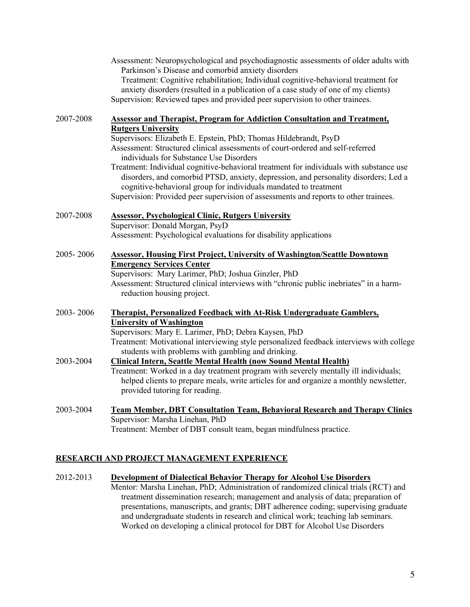|           | Assessment: Neuropsychological and psychodiagnostic assessments of older adults with<br>Parkinson's Disease and comorbid anxiety disorders<br>Treatment: Cognitive rehabilitation; Individual cognitive-behavioral treatment for<br>anxiety disorders (resulted in a publication of a case study of one of my clients)<br>Supervision: Reviewed tapes and provided peer supervision to other trainees.                                                                                                                                                                   |
|-----------|--------------------------------------------------------------------------------------------------------------------------------------------------------------------------------------------------------------------------------------------------------------------------------------------------------------------------------------------------------------------------------------------------------------------------------------------------------------------------------------------------------------------------------------------------------------------------|
| 2007-2008 | <b>Assessor and Therapist, Program for Addiction Consultation and Treatment,</b>                                                                                                                                                                                                                                                                                                                                                                                                                                                                                         |
|           | <b>Rutgers University</b><br>Supervisors: Elizabeth E. Epstein, PhD; Thomas Hildebrandt, PsyD<br>Assessment: Structured clinical assessments of court-ordered and self-referred<br>individuals for Substance Use Disorders<br>Treatment: Individual cognitive-behavioral treatment for individuals with substance use<br>disorders, and comorbid PTSD, anxiety, depression, and personality disorders; Led a<br>cognitive-behavioral group for individuals mandated to treatment<br>Supervision: Provided peer supervision of assessments and reports to other trainees. |
| 2007-2008 | <b>Assessor, Psychological Clinic, Rutgers University</b><br>Supervisor: Donald Morgan, PsyD<br>Assessment: Psychological evaluations for disability applications                                                                                                                                                                                                                                                                                                                                                                                                        |
| 2005-2006 | <b>Assessor, Housing First Project, University of Washington/Seattle Downtown</b><br><b>Emergency Services Center</b><br>Supervisors: Mary Larimer, PhD; Joshua Ginzler, PhD<br>Assessment: Structured clinical interviews with "chronic public inebriates" in a harm-<br>reduction housing project.                                                                                                                                                                                                                                                                     |
| 2003-2006 | <b>Therapist, Personalized Feedback with At-Risk Undergraduate Gamblers,</b><br><b>University of Washington</b><br>Supervisors: Mary E. Larimer, PhD; Debra Kaysen, PhD<br>Treatment: Motivational interviewing style personalized feedback interviews with college                                                                                                                                                                                                                                                                                                      |
| 2003-2004 | students with problems with gambling and drinking.<br><b>Clinical Intern, Seattle Mental Health (now Sound Mental Health)</b><br>Treatment: Worked in a day treatment program with severely mentally ill individuals;<br>helped clients to prepare meals, write articles for and organize a monthly newsletter,<br>provided tutoring for reading.                                                                                                                                                                                                                        |
| 2003-2004 | <b>Team Member, DBT Consultation Team, Behavioral Research and Therapy Clinics</b><br>Supervisor: Marsha Linehan, PhD<br>Treatment: Member of DBT consult team, began mindfulness practice.                                                                                                                                                                                                                                                                                                                                                                              |

# **RESEARCH AND PROJECT MANAGEMENT EXPERIENCE**

| 2012-2013 | Development of Dialectical Behavior Therapy for Alcohol Use Disorders               |
|-----------|-------------------------------------------------------------------------------------|
|           | Mentor: Marsha Linehan, PhD; Administration of randomized clinical trials (RCT) and |
|           | treatment dissemination research; management and analysis of data; preparation of   |
|           | presentations, manuscripts, and grants; DBT adherence coding; supervising graduate  |
|           | and undergraduate students in research and clinical work; teaching lab seminars.    |
|           | Worked on developing a clinical protocol for DBT for Alcohol Use Disorders          |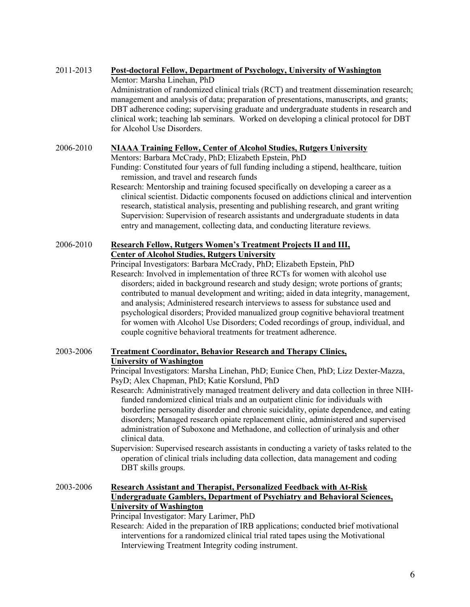| 2011-2013 | Post-doctoral Fellow, Department of Psychology, University of Washington |  |  |
|-----------|--------------------------------------------------------------------------|--|--|
|           |                                                                          |  |  |

Mentor: Marsha Linehan, PhD

Administration of randomized clinical trials (RCT) and treatment dissemination research; management and analysis of data; preparation of presentations, manuscripts, and grants; DBT adherence coding; supervising graduate and undergraduate students in research and clinical work; teaching lab seminars. Worked on developing a clinical protocol for DBT for Alcohol Use Disorders.

# 2006-2010 **NIAAA Training Fellow, Center of Alcohol Studies, Rutgers University**

Mentors: Barbara McCrady, PhD; Elizabeth Epstein, PhD

Funding: Constituted four years of full funding including a stipend, healthcare, tuition remission, and travel and research funds

Research: Mentorship and training focused specifically on developing a career as a clinical scientist. Didactic components focused on addictions clinical and intervention research, statistical analysis, presenting and publishing research, and grant writing Supervision: Supervision of research assistants and undergraduate students in data entry and management, collecting data, and conducting literature reviews.

# 2006-2010 **Research Fellow, Rutgers Women's Treatment Projects II and III, Center of Alcohol Studies, Rutgers University**

Principal Investigators: Barbara McCrady, PhD; Elizabeth Epstein, PhD Research: Involved in implementation of three RCTs for women with alcohol use disorders; aided in background research and study design; wrote portions of grants; contributed to manual development and writing; aided in data integrity, management, and analysis; Administered research interviews to assess for substance used and psychological disorders; Provided manualized group cognitive behavioral treatment for women with Alcohol Use Disorders; Coded recordings of group, individual, and couple cognitive behavioral treatments for treatment adherence.

# 2003-2006 **Treatment Coordinator, Behavior Research and Therapy Clinics,**

# **University of Washington**

Principal Investigators: Marsha Linehan, PhD; Eunice Chen, PhD; Lizz Dexter-Mazza, PsyD; Alex Chapman, PhD; Katie Korslund, PhD

Research: Administratively managed treatment delivery and data collection in three NIHfunded randomized clinical trials and an outpatient clinic for individuals with borderline personality disorder and chronic suicidality, opiate dependence, and eating disorders; Managed research opiate replacement clinic, administered and supervised administration of Suboxone and Methadone, and collection of urinalysis and other clinical data.

Supervision: Supervised research assistants in conducting a variety of tasks related to the operation of clinical trials including data collection, data management and coding DBT skills groups.

2003-2006 **Research Assistant and Therapist, Personalized Feedback with At-Risk Undergraduate Gamblers, Department of Psychiatry and Behavioral Sciences, University of Washington** Principal Investigator: Mary Larimer, PhD

Research: Aided in the preparation of IRB applications; conducted brief motivational interventions for a randomized clinical trial rated tapes using the Motivational Interviewing Treatment Integrity coding instrument.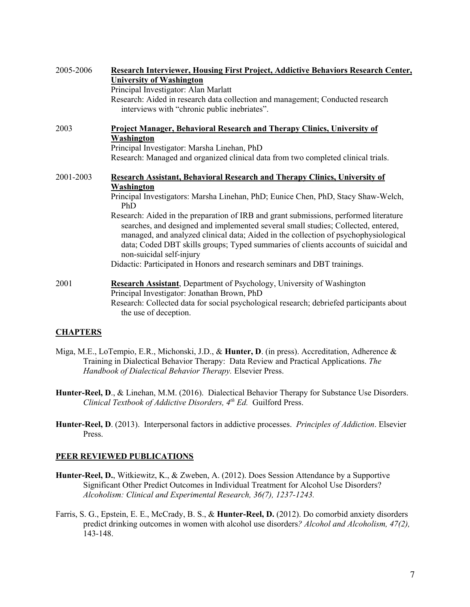| 2005-2006 | Research Interviewer, Housing First Project, Addictive Behaviors Research Center,                                                                                                                                                                                                                                                                                                   |  |  |
|-----------|-------------------------------------------------------------------------------------------------------------------------------------------------------------------------------------------------------------------------------------------------------------------------------------------------------------------------------------------------------------------------------------|--|--|
|           | <b>University of Washington</b>                                                                                                                                                                                                                                                                                                                                                     |  |  |
|           | Principal Investigator: Alan Marlatt                                                                                                                                                                                                                                                                                                                                                |  |  |
|           | Research: Aided in research data collection and management; Conducted research<br>interviews with "chronic public inebriates".                                                                                                                                                                                                                                                      |  |  |
| 2003      | <b>Project Manager, Behavioral Research and Therapy Clinics, University of</b>                                                                                                                                                                                                                                                                                                      |  |  |
|           | Washington                                                                                                                                                                                                                                                                                                                                                                          |  |  |
|           | Principal Investigator: Marsha Linehan, PhD                                                                                                                                                                                                                                                                                                                                         |  |  |
|           | Research: Managed and organized clinical data from two completed clinical trials.                                                                                                                                                                                                                                                                                                   |  |  |
| 2001-2003 | <b>Research Assistant, Behavioral Research and Therapy Clinics, University of</b>                                                                                                                                                                                                                                                                                                   |  |  |
|           | Washington                                                                                                                                                                                                                                                                                                                                                                          |  |  |
|           | Principal Investigators: Marsha Linehan, PhD; Eunice Chen, PhD, Stacy Shaw-Welch,<br>PhD                                                                                                                                                                                                                                                                                            |  |  |
|           | Research: Aided in the preparation of IRB and grant submissions, performed literature<br>searches, and designed and implemented several small studies; Collected, entered,<br>managed, and analyzed clinical data; Aided in the collection of psychophysiological<br>data; Coded DBT skills groups; Typed summaries of clients accounts of suicidal and<br>non-suicidal self-injury |  |  |
|           | Didactic: Participated in Honors and research seminars and DBT trainings.                                                                                                                                                                                                                                                                                                           |  |  |
| 2001      | <b>Research Assistant, Department of Psychology, University of Washington</b><br>Principal Investigator: Jonathan Brown, PhD                                                                                                                                                                                                                                                        |  |  |
|           | Research: Collected data for social psychological research; debriefed participants about<br>the use of deception.                                                                                                                                                                                                                                                                   |  |  |

# **CHAPTERS**

- Miga, M.E., LoTempio, E.R., Michonski, J.D., & **Hunter, D**. (in press). Accreditation, Adherence & Training in Dialectical Behavior Therapy: Data Review and Practical Applications. *The Handbook of Dialectical Behavior Therapy.* Elsevier Press.
- **Hunter-Reel, D**., & Linehan, M.M. (2016). Dialectical Behavior Therapy for Substance Use Disorders. *Clinical Textbook of Addictive Disorders, 4th Ed.* Guilford Press.
- **Hunter-Reel, D**. (2013). Interpersonal factors in addictive processes. *Principles of Addiction*. Elsevier Press.

## **PEER REVIEWED PUBLICATIONS**

- **Hunter-Reel, D.**, Witkiewitz, K., & Zweben, A. (2012). Does Session Attendance by a Supportive Significant Other Predict Outcomes in Individual Treatment for Alcohol Use Disorders? *Alcoholism: Clinical and Experimental Research, 36(7), 1237-1243.*
- Farris, S. G., Epstein, E. E., McCrady, B. S., & **Hunter-Reel, D.** (2012). Do comorbid anxiety disorders predict drinking outcomes in women with alcohol use disorders*? Alcohol and Alcoholism, 47(2),* 143-148.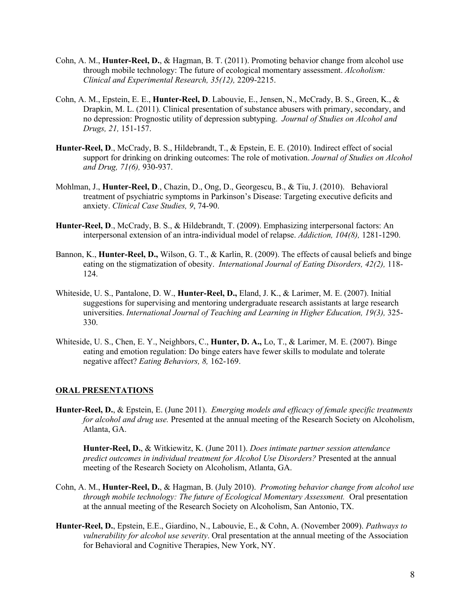- Cohn, A. M., **Hunter-Reel, D.**, & Hagman, B. T. (2011). Promoting behavior change from alcohol use through mobile technology: The future of ecological momentary assessment. *Alcoholism: Clinical and Experimental Research, 35(12),* 2209-2215.
- Cohn, A. M., Epstein, E. E., **Hunter-Reel, D**. Labouvie, E., Jensen, N., McCrady, B. S., Green, K., & Drapkin, M. L. (2011). Clinical presentation of substance abusers with primary, secondary, and no depression: Prognostic utility of depression subtyping. *Journal of Studies on Alcohol and Drugs, 21,* 151-157.
- **Hunter-Reel, D**., McCrady, B. S., Hildebrandt, T., & Epstein, E. E. (2010). Indirect effect of social support for drinking on drinking outcomes: The role of motivation. *Journal of Studies on Alcohol and Drug, 71(6),* 930-937.
- Mohlman, J., **Hunter-Reel, D**., Chazin, D., Ong, D., Georgescu, B., & Tiu, J. (2010). Behavioral treatment of psychiatric symptoms in Parkinson's Disease: Targeting executive deficits and anxiety. *Clinical Case Studies, 9*, 74-90.
- **Hunter-Reel, D**., McCrady, B. S., & Hildebrandt, T. (2009). Emphasizing interpersonal factors: An interpersonal extension of an intra-individual model of relapse. *Addiction, 104(8),* 1281-1290.
- Bannon, K., **Hunter-Reel, D.,** Wilson, G. T., & Karlin, R. (2009). The effects of causal beliefs and binge eating on the stigmatization of obesity. *International Journal of Eating Disorders, 42(2),* 118- 124.
- Whiteside, U. S., Pantalone, D. W., **Hunter-Reel, D.,** Eland, J. K., & Larimer, M. E. (2007). Initial suggestions for supervising and mentoring undergraduate research assistants at large research universities. *International Journal of Teaching and Learning in Higher Education, 19(3),* 325- 330.
- Whiteside, U. S., Chen, E. Y., Neighbors, C., **Hunter, D. A.,** Lo, T., & Larimer, M. E. (2007). Binge eating and emotion regulation: Do binge eaters have fewer skills to modulate and tolerate negative affect? *Eating Behaviors, 8,* 162-169.

## **ORAL PRESENTATIONS**

**Hunter-Reel, D.**, & Epstein, E. (June 2011). *Emerging models and efficacy of female specific treatments for alcohol and drug use.* Presented at the annual meeting of the Research Society on Alcoholism, Atlanta, GA.

**Hunter-Reel, D.**, & Witkiewitz, K. (June 2011). *Does intimate partner session attendance predict outcomes in individual treatment for Alcohol Use Disorders?* Presented at the annual meeting of the Research Society on Alcoholism, Atlanta, GA.

- Cohn, A. M., **Hunter-Reel, D.**, & Hagman, B. (July 2010). *Promoting behavior change from alcohol use through mobile technology: The future of Ecological Momentary Assessment.* Oral presentation at the annual meeting of the Research Society on Alcoholism, San Antonio, TX.
- **Hunter-Reel, D.**, Epstein, E.E., Giardino, N., Labouvie, E., & Cohn, A. (November 2009). *Pathways to vulnerability for alcohol use severity*. Oral presentation at the annual meeting of the Association for Behavioral and Cognitive Therapies, New York, NY.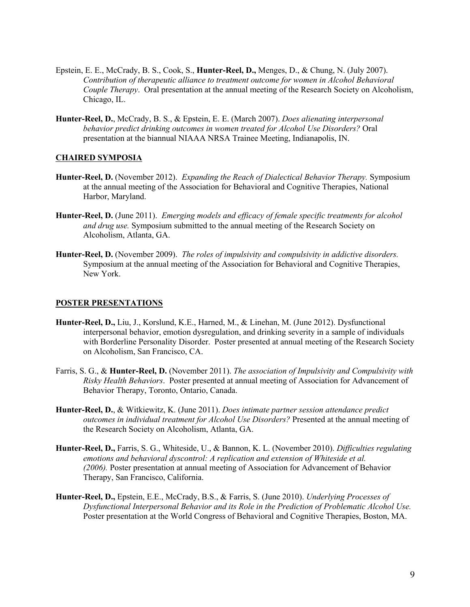- Epstein, E. E., McCrady, B. S., Cook, S., **Hunter-Reel, D.,** Menges, D., & Chung, N. (July 2007). *Contribution of therapeutic alliance to treatment outcome for women in Alcohol Behavioral Couple Therapy*. Oral presentation at the annual meeting of the Research Society on Alcoholism, Chicago, IL.
- **Hunter-Reel, D.**, McCrady, B. S., & Epstein, E. E. (March 2007). *Does alienating interpersonal behavior predict drinking outcomes in women treated for Alcohol Use Disorders?* Oral presentation at the biannual NIAAA NRSA Trainee Meeting, Indianapolis, IN.

#### **CHAIRED SYMPOSIA**

- **Hunter-Reel, D.** (November 2012). *Expanding the Reach of Dialectical Behavior Therapy.* Symposium at the annual meeting of the Association for Behavioral and Cognitive Therapies, National Harbor, Maryland.
- **Hunter-Reel, D.** (June 2011). *Emerging models and efficacy of female specific treatments for alcohol and drug use.* Symposium submitted to the annual meeting of the Research Society on Alcoholism, Atlanta, GA.
- **Hunter-Reel, D.** (November 2009). *The roles of impulsivity and compulsivity in addictive disorders.* Symposium at the annual meeting of the Association for Behavioral and Cognitive Therapies, New York.

#### **POSTER PRESENTATIONS**

- **Hunter-Reel, D.,** Liu, J., Korslund, K.E., Harned, M., & Linehan, M. (June 2012). Dysfunctional interpersonal behavior, emotion dysregulation, and drinking severity in a sample of individuals with Borderline Personality Disorder. Poster presented at annual meeting of the Research Society on Alcoholism, San Francisco, CA.
- Farris, S. G., & **Hunter-Reel, D.** (November 2011). *The association of Impulsivity and Compulsivity with Risky Health Behaviors*. Poster presented at annual meeting of Association for Advancement of Behavior Therapy, Toronto, Ontario, Canada.
- **Hunter-Reel, D.**, & Witkiewitz, K. (June 2011). *Does intimate partner session attendance predict outcomes in individual treatment for Alcohol Use Disorders?* Presented at the annual meeting of the Research Society on Alcoholism, Atlanta, GA.
- **Hunter-Reel, D.,** Farris, S. G., Whiteside, U., & Bannon, K. L. (November 2010). *Difficulties regulating emotions and behavioral dyscontrol: A replication and extension of Whiteside et al. (2006).* Poster presentation at annual meeting of Association for Advancement of Behavior Therapy, San Francisco, California.
- **Hunter-Reel, D.,** Epstein, E.E., McCrady, B.S., & Farris, S. (June 2010). *Underlying Processes of Dysfunctional Interpersonal Behavior and its Role in the Prediction of Problematic Alcohol Use.*  Poster presentation at the World Congress of Behavioral and Cognitive Therapies, Boston, MA.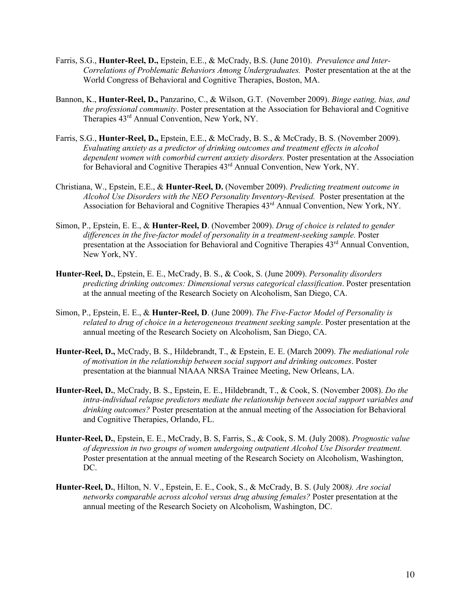- Farris, S.G., **Hunter-Reel, D.,** Epstein, E.E., & McCrady, B.S. (June 2010). *Prevalence and Inter-Correlations of Problematic Behaviors Among Undergraduates.* Poster presentation at the at the World Congress of Behavioral and Cognitive Therapies, Boston, MA.
- Bannon, K., **Hunter-Reel, D.,** Panzarino, C., & Wilson, G.T. (November 2009). *Binge eating, bias, and the professional community*. Poster presentation at the Association for Behavioral and Cognitive Therapies 43rd Annual Convention, New York, NY.
- Farris, S.G., **Hunter-Reel, D.,** Epstein, E.E., & McCrady, B. S., & McCrady, B. S. (November 2009). *Evaluating anxiety as a predictor of drinking outcomes and treatment effects in alcohol dependent women with comorbid current anxiety disorders.* Poster presentation at the Association for Behavioral and Cognitive Therapies 43rd Annual Convention, New York, NY.
- Christiana, W., Epstein, E.E., & **Hunter-Reel, D.** (November 2009). *Predicting treatment outcome in Alcohol Use Disorders with the NEO Personality Inventory-Revised.* Poster presentation at the Association for Behavioral and Cognitive Therapies 43rd Annual Convention, New York, NY.
- Simon, P., Epstein, E. E., & **Hunter-Reel, D**. (November 2009). *Drug of choice is related to gender differences in the five-factor model of personality in a treatment-seeking sample.* Poster presentation at the Association for Behavioral and Cognitive Therapies 43<sup>rd</sup> Annual Convention, New York, NY.
- **Hunter-Reel, D.**, Epstein, E. E., McCrady, B. S., & Cook, S. (June 2009). *Personality disorders predicting drinking outcomes: Dimensional versus categorical classification*. Poster presentation at the annual meeting of the Research Society on Alcoholism, San Diego, CA.
- Simon, P., Epstein, E. E., & **Hunter-Reel, D**. (June 2009). *The Five-Factor Model of Personality is related to drug of choice in a heterogeneous treatment seeking sample*. Poster presentation at the annual meeting of the Research Society on Alcoholism, San Diego, CA.
- **Hunter-Reel, D.,** McCrady, B. S., Hildebrandt, T., & Epstein, E. E. (March 2009). *The mediational role of motivation in the relationship between social support and drinking outcomes*. Poster presentation at the biannual NIAAA NRSA Trainee Meeting, New Orleans, LA.
- **Hunter-Reel, D.**, McCrady, B. S., Epstein, E. E., Hildebrandt, T., & Cook, S. (November 2008). *Do the intra-individual relapse predictors mediate the relationship between social support variables and drinking outcomes?* Poster presentation at the annual meeting of the Association for Behavioral and Cognitive Therapies, Orlando, FL.
- **Hunter-Reel, D.**, Epstein, E. E., McCrady, B. S, Farris, S., & Cook, S. M. (July 2008). *Prognostic value of depression in two groups of women undergoing outpatient Alcohol Use Disorder treatment.* Poster presentation at the annual meeting of the Research Society on Alcoholism, Washington, DC.
- **Hunter-Reel, D.**, Hilton, N. V., Epstein, E. E., Cook, S., & McCrady, B. S. (July 2008*). Are social networks comparable across alcohol versus drug abusing females?* Poster presentation at the annual meeting of the Research Society on Alcoholism, Washington, DC.